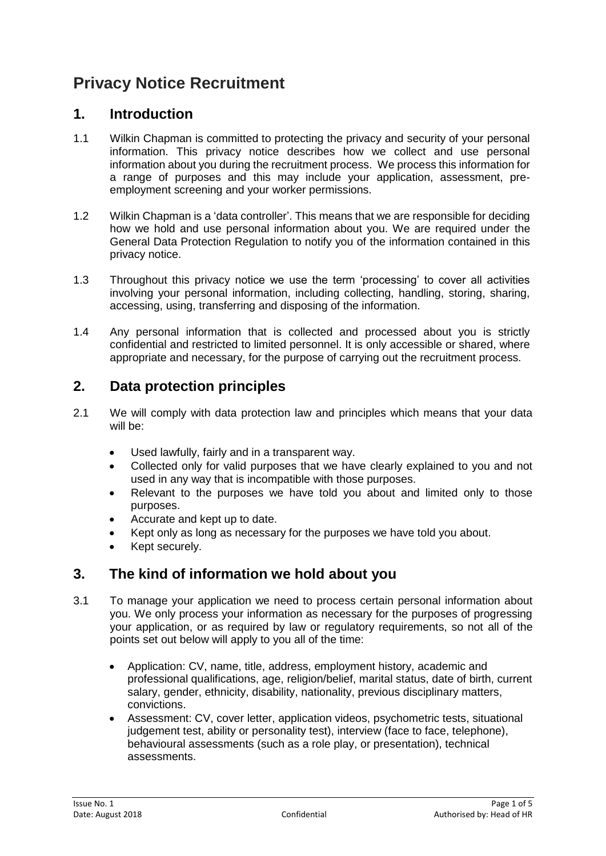# **Privacy Notice Recruitment**

### **1. Introduction**

- 1.1 Wilkin Chapman is committed to protecting the privacy and security of your personal information. This privacy notice describes how we collect and use personal information about you during the recruitment process. We process this information for a range of purposes and this may include your application, assessment, preemployment screening and your worker permissions.
- 1.2 Wilkin Chapman is a 'data controller'. This means that we are responsible for deciding how we hold and use personal information about you. We are required under the General Data Protection Regulation to notify you of the information contained in this privacy notice.
- 1.3 Throughout this privacy notice we use the term 'processing' to cover all activities involving your personal information, including collecting, handling, storing, sharing, accessing, using, transferring and disposing of the information.
- 1.4 Any personal information that is collected and processed about you is strictly confidential and restricted to limited personnel. It is only accessible or shared, where appropriate and necessary, for the purpose of carrying out the recruitment process.

### **2. Data protection principles**

- 2.1 We will comply with data protection law and principles which means that your data will be:
	- Used lawfully, fairly and in a transparent way.
	- Collected only for valid purposes that we have clearly explained to you and not used in any way that is incompatible with those purposes.
	- Relevant to the purposes we have told you about and limited only to those purposes.
	- Accurate and kept up to date.
	- Kept only as long as necessary for the purposes we have told you about.
	- Kept securely.

### **3. The kind of information we hold about you**

- 3.1 To manage your application we need to process certain personal information about you. We only process your information as necessary for the purposes of progressing your application, or as required by law or regulatory requirements, so not all of the points set out below will apply to you all of the time:
	- Application: CV, name, title, address, employment history, academic and professional qualifications, age, religion/belief, marital status, date of birth, current salary, gender, ethnicity, disability, nationality, previous disciplinary matters, convictions.
	- Assessment: CV, cover letter, application videos, psychometric tests, situational judgement test, ability or personality test), interview (face to face, telephone), behavioural assessments (such as a role play, or presentation), technical assessments.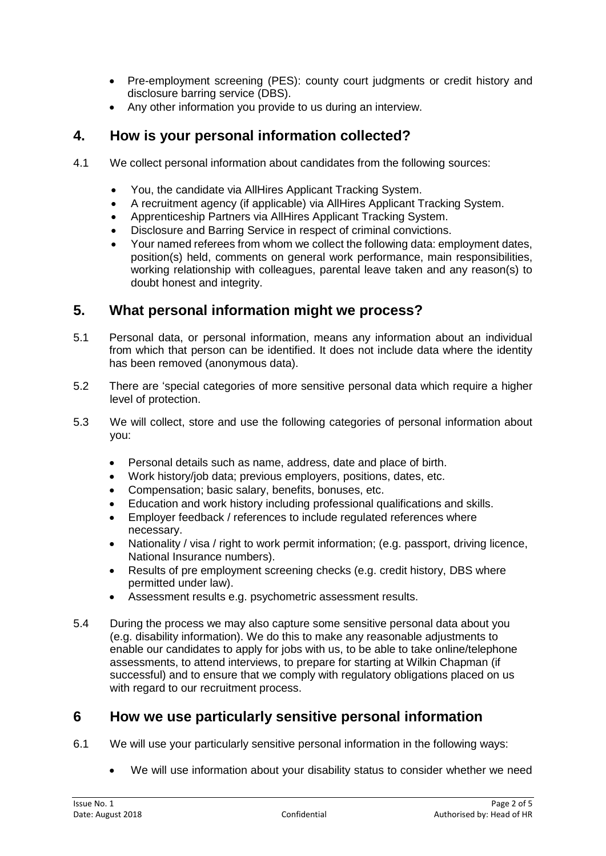- Pre-employment screening (PES): county court judgments or credit history and disclosure barring service (DBS).
- Any other information you provide to us during an interview.

## **4. How is your personal information collected?**

- 4.1 We collect personal information about candidates from the following sources:
	- You, the candidate via AllHires Applicant Tracking System.
	- A recruitment agency (if applicable) via AllHires Applicant Tracking System.
	- Apprenticeship Partners via AllHires Applicant Tracking System.
	- Disclosure and Barring Service in respect of criminal convictions.
	- Your named referees from whom we collect the following data: employment dates, position(s) held, comments on general work performance, main responsibilities, working relationship with colleagues, parental leave taken and any reason(s) to doubt honest and integrity.

## **5. What personal information might we process?**

- 5.1 Personal data, or personal information, means any information about an individual from which that person can be identified. It does not include data where the identity has been removed (anonymous data).
- 5.2 There are 'special categories of more sensitive personal data which require a higher level of protection.
- 5.3 We will collect, store and use the following categories of personal information about you:
	- Personal details such as name, address, date and place of birth.
	- Work history/job data; previous employers, positions, dates, etc.
	- Compensation; basic salary, benefits, bonuses, etc.
	- Education and work history including professional qualifications and skills.
	- Employer feedback / references to include regulated references where necessary.
	- Nationality / visa / right to work permit information; (e.g. passport, driving licence, National Insurance numbers).
	- Results of pre employment screening checks (e.g. credit history, DBS where permitted under law).
	- Assessment results e.g. psychometric assessment results.
- 5.4 During the process we may also capture some sensitive personal data about you (e.g. disability information). We do this to make any reasonable adjustments to enable our candidates to apply for jobs with us, to be able to take online/telephone assessments, to attend interviews, to prepare for starting at Wilkin Chapman (if successful) and to ensure that we comply with regulatory obligations placed on us with regard to our recruitment process.

## **6 How we use particularly sensitive personal information**

- 6.1 We will use your particularly sensitive personal information in the following ways:
	- We will use information about your disability status to consider whether we need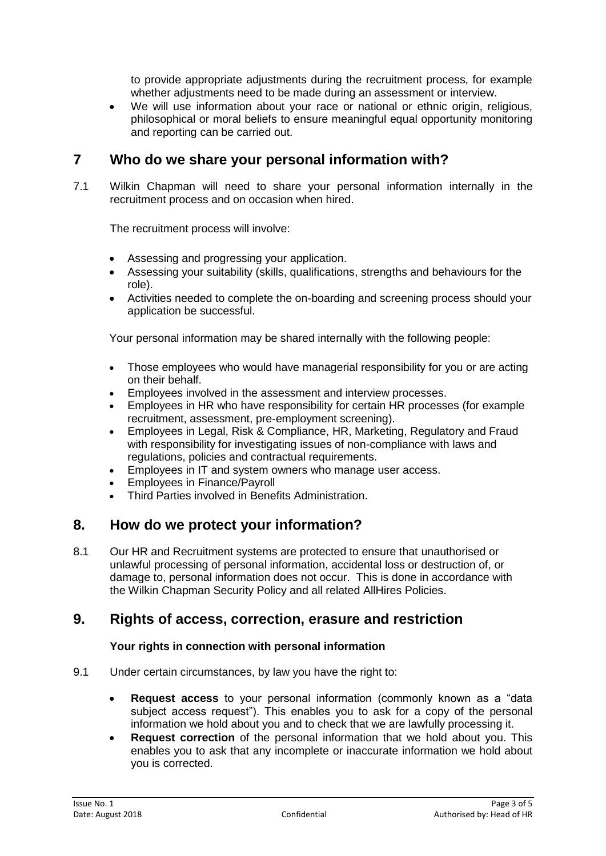to provide appropriate adjustments during the recruitment process, for example whether adjustments need to be made during an assessment or interview.

• We will use information about your race or national or ethnic origin, religious, philosophical or moral beliefs to ensure meaningful equal opportunity monitoring and reporting can be carried out.

## **7 Who do we share your personal information with?**

7.1 Wilkin Chapman will need to share your personal information internally in the recruitment process and on occasion when hired.

The recruitment process will involve:

- Assessing and progressing your application.
- Assessing your suitability (skills, qualifications, strengths and behaviours for the role).
- Activities needed to complete the on-boarding and screening process should your application be successful.

Your personal information may be shared internally with the following people:

- Those employees who would have managerial responsibility for you or are acting on their behalf.
- Employees involved in the assessment and interview processes.
- Employees in HR who have responsibility for certain HR processes (for example recruitment, assessment, pre-employment screening).
- Employees in Legal, Risk & Compliance, HR, Marketing, Regulatory and Fraud with responsibility for investigating issues of non-compliance with laws and regulations, policies and contractual requirements.
- Employees in IT and system owners who manage user access.
- Employees in Finance/Payroll
- Third Parties involved in Benefits Administration.

#### **8. How do we protect your information?**

8.1 Our HR and Recruitment systems are protected to ensure that unauthorised or unlawful processing of personal information, accidental loss or destruction of, or damage to, personal information does not occur. This is done in accordance with the Wilkin Chapman Security Policy and all related AllHires Policies.

### **9. Rights of access, correction, erasure and restriction**

#### **Your rights in connection with personal information**

- 9.1 Under certain circumstances, by law you have the right to:
	- **Request access** to your personal information (commonly known as a "data subject access request"). This enables you to ask for a copy of the personal information we hold about you and to check that we are lawfully processing it.
	- **Request correction** of the personal information that we hold about you. This enables you to ask that any incomplete or inaccurate information we hold about you is corrected.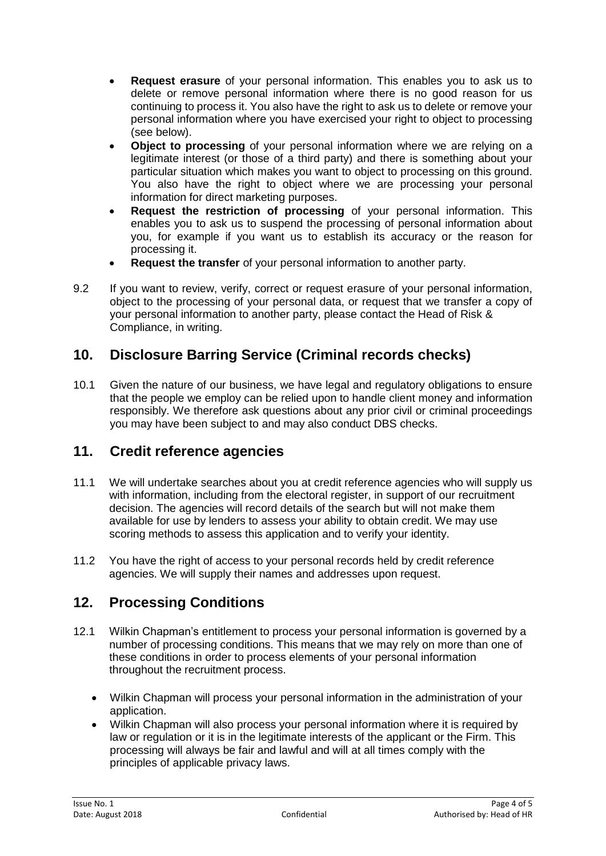- **Request erasure** of your personal information. This enables you to ask us to delete or remove personal information where there is no good reason for us continuing to process it. You also have the right to ask us to delete or remove your personal information where you have exercised your right to object to processing (see below).
- **Object to processing** of your personal information where we are relying on a legitimate interest (or those of a third party) and there is something about your particular situation which makes you want to object to processing on this ground. You also have the right to object where we are processing your personal information for direct marketing purposes.
- **Request the restriction of processing** of your personal information. This enables you to ask us to suspend the processing of personal information about you, for example if you want us to establish its accuracy or the reason for processing it.
- **Request the transfer** of your personal information to another party.
- 9.2 If you want to review, verify, correct or request erasure of your personal information, object to the processing of your personal data, or request that we transfer a copy of your personal information to another party, please contact the Head of Risk & Compliance, in writing.

# **10. Disclosure Barring Service (Criminal records checks)**

10.1 Given the nature of our business, we have legal and regulatory obligations to ensure that the people we employ can be relied upon to handle client money and information responsibly. We therefore ask questions about any prior civil or criminal proceedings you may have been subject to and may also conduct DBS checks.

## **11. Credit reference agencies**

- 11.1 We will undertake searches about you at credit reference agencies who will supply us with information, including from the electoral register, in support of our recruitment decision. The agencies will record details of the search but will not make them available for use by lenders to assess your ability to obtain credit. We may use scoring methods to assess this application and to verify your identity.
- 11.2 You have the right of access to your personal records held by credit reference agencies. We will supply their names and addresses upon request.

## **12. Processing Conditions**

- 12.1 Wilkin Chapman's entitlement to process your personal information is governed by a number of processing conditions. This means that we may rely on more than one of these conditions in order to process elements of your personal information throughout the recruitment process.
	- Wilkin Chapman will process your personal information in the administration of your application.
	- Wilkin Chapman will also process your personal information where it is required by law or regulation or it is in the legitimate interests of the applicant or the Firm. This processing will always be fair and lawful and will at all times comply with the principles of applicable privacy laws.